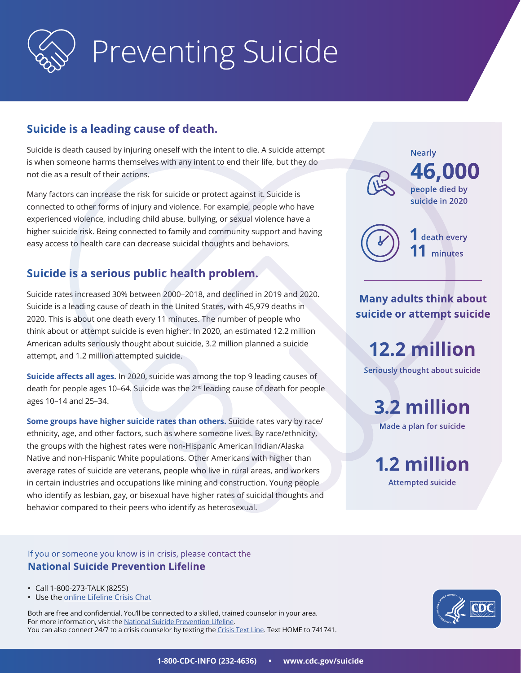

# Preventing Suicide

# **Suicide is a leading cause of death.**

Suicide is death caused by injuring oneself with the intent to die. A suicide attempt is when someone harms themselves with any intent to end their life, but they do not die as a result of their actions.

Many factors can increase the risk for suicide or protect against it. Suicide is connected to other forms of injury and violence. For example, people who have experienced violence, including child abuse, bullying, or sexual violence have a higher suicide risk. Being connected to family and community support and having easy access to health care can decrease suicidal thoughts and behaviors.

# **Suicide is a serious public health problem.**

Suicide rates increased 30% between 2000–2018, and declined in 2019 and 2020. Suicide is a leading cause of death in the United States, with 45,979 deaths in 2020. This is about one death every 11 minutes. The number of people who think about or attempt suicide is even higher. In 2020, an estimated 12.2 million American adults seriously thought about suicide, 3.2 million planned a suicide attempt, and 1.2 million attempted suicide.

**Suicide affects all ages.** In 2020, suicide was among the top 9 leading causes of death for people ages 10-64. Suicide was the 2<sup>nd</sup> leading cause of death for people ages 10–14 and 25–34.

**Some groups have higher suicide rates than others.** Suicide rates vary by race/ ethnicity, age, and other factors, such as where someone lives. By race/ethnicity, the groups with the highest rates were non-Hispanic American Indian/Alaska Native and non-Hispanic White populations. Other Americans with higher than average rates of suicide are veterans, people who live in rural areas, and workers in certain industries and occupations like mining and construction. Young people who identify as lesbian, gay, or bisexual have higher rates of suicidal thoughts and behavior compared to their peers who identify as heterosexual.

If you or someone you know is in crisis, please contact the **National Suicide Prevention Lifeline**

- Call 1-800-273-TALK (8255)
- Use the [online Lifeline Crisis Chat](http://www.suicidepreventionlifeline.org/GetHelp/LifelineChat.aspx)

Both are free and confidential. You'll be connected to a skilled, trained counselor in your area. For more information, visit the [National Suicide Prevention Lifeline.](http://www.suicidepreventionlifeline.org/) You can also connect 24/7 to a crisis counselor by texting the [Crisis Text Line](https://www.crisistextline.org/). Text HOME to 741741.



**12.2 million**

**Seriously thought about suicide**

**Many adults think about suicide or attempt suicide**

**Nearly**

**46,000**

**1 death every 11 minutes**

**people died by suicide in 2020**

**3.2 million**

**Made a plan for suicide**

**1.2 million**

**Attempted suicide**